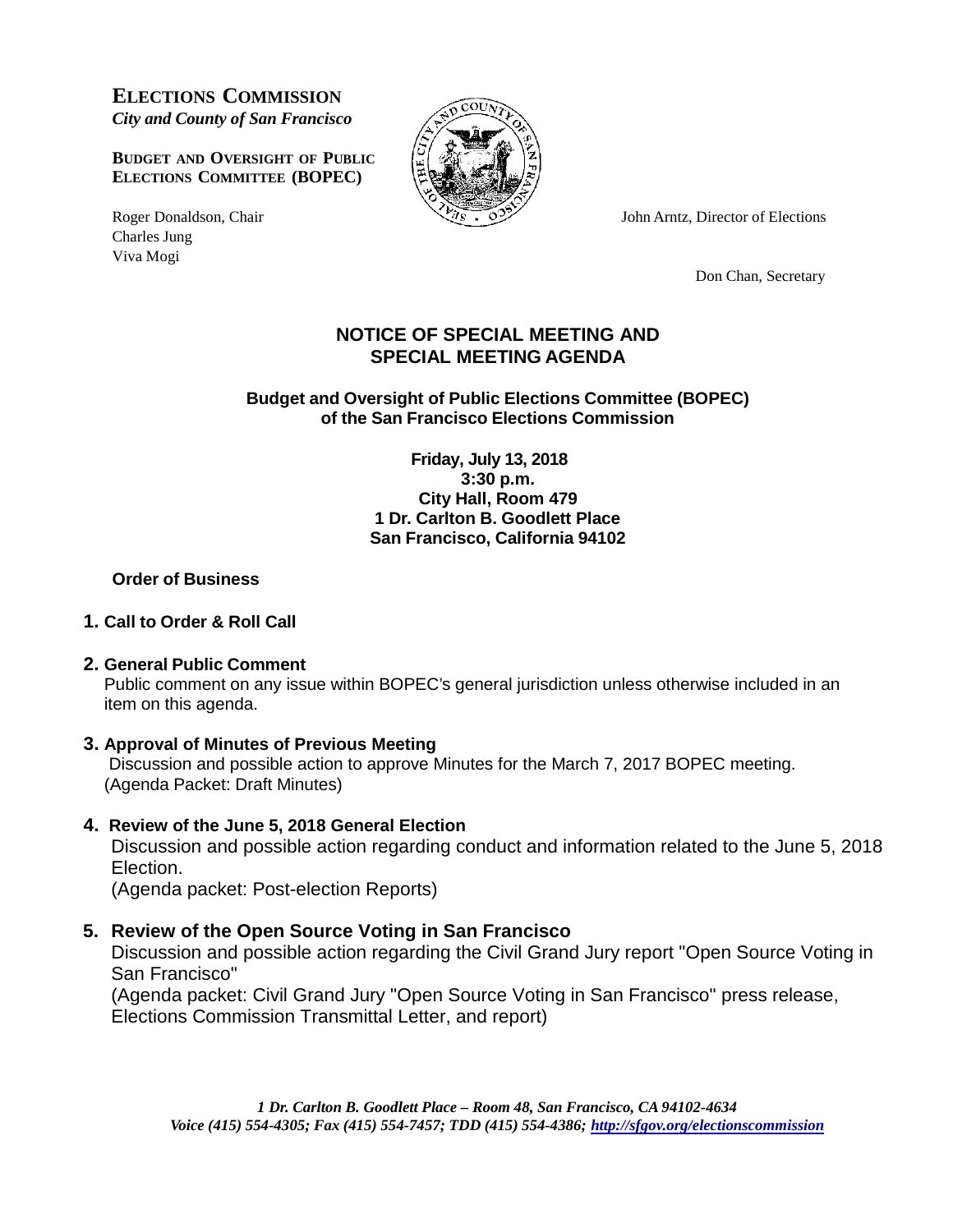**ELECTIONS COMMISSION** *City and County of San Francisco*

**BUDGET AND OVERSIGHT OF PUBLIC ELECTIONS COMMITTEE (BOPEC)**

Charles Jung Viva Mogi



Roger Donaldson, Chair  $\sqrt{g} = 6$  John Arntz, Director of Elections

Don Chan, Secretary

## **NOTICE OF SPECIAL MEETING AND SPECIAL MEETING AGENDA**

**Budget and Oversight of Public Elections Committee (BOPEC) of the San Francisco Elections Commission**

> **Friday, July 13, 2018 3:30 p.m. City Hall, Room 479 1 Dr. Carlton B. Goodlett Place San Francisco, California 94102**

## **Order of Business**

## **1. Call to Order & Roll Call**

## **2. General Public Comment**

Public comment on any issue within BOPEC's general jurisdiction unless otherwise included in an item on this agenda.

## **3. Approval of Minutes of Previous Meeting**

Discussion and possible action to approve Minutes for the March 7, 2017 BOPEC meeting. (Agenda Packet: Draft Minutes)

## **4. Review of the June 5, 2018 General Election**

Discussion and possible action regarding conduct and information related to the June 5, 2018 Election.

(Agenda packet: Post-election Reports)

# **5. Review of the Open Source Voting in San Francisco**

Discussion and possible action regarding the Civil Grand Jury report "Open Source Voting in San Francisco"

(Agenda packet: Civil Grand Jury "Open Source Voting in San Francisco" press release, Elections Commission Transmittal Letter, and report)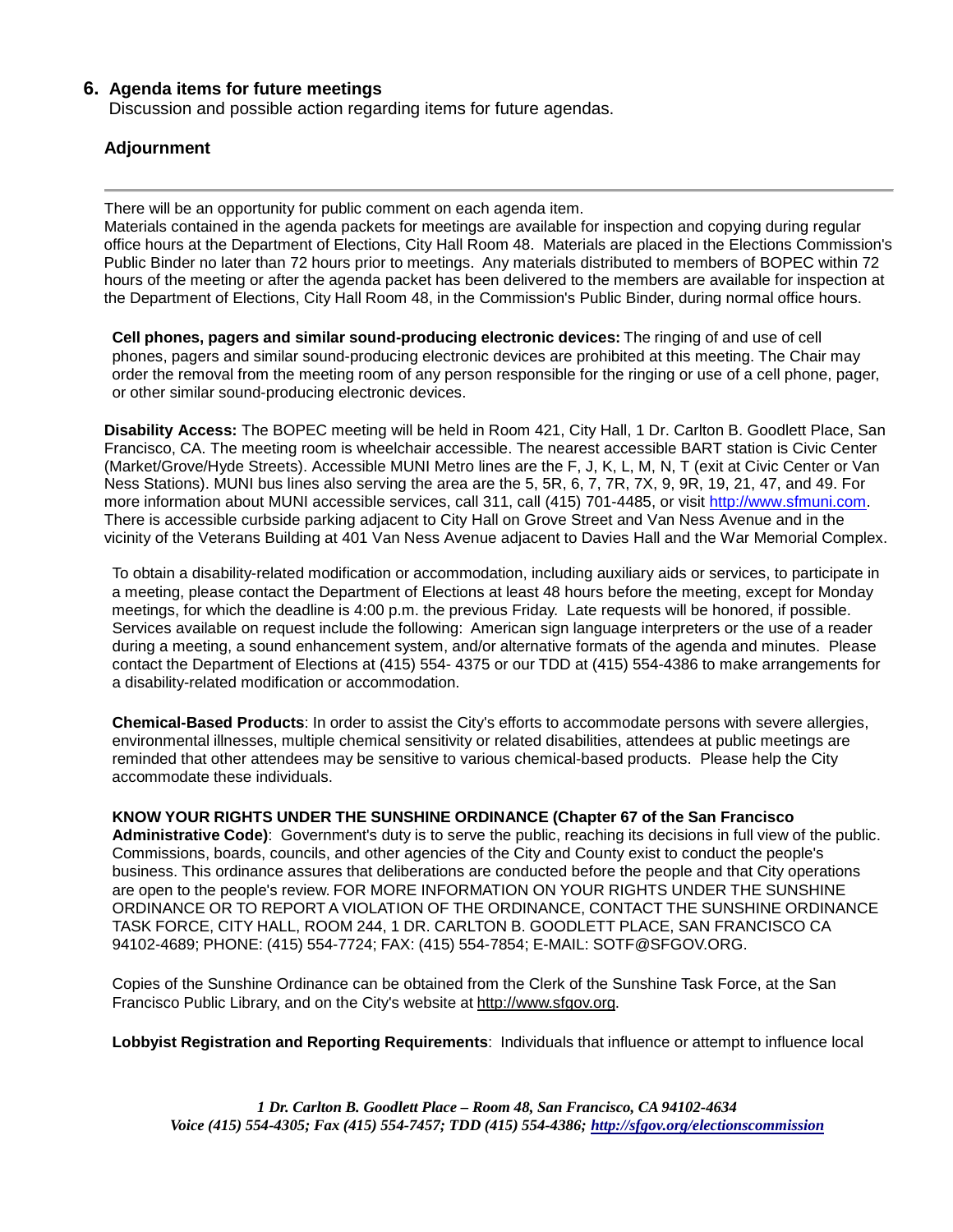#### **6. Agenda items for future meetings**

Discussion and possible action regarding items for future agendas.

#### **Adjournment**

There will be an opportunity for public comment on each agenda item.

Materials contained in the agenda packets for meetings are available for inspection and copying during regular office hours at the Department of Elections, City Hall Room 48. Materials are placed in the Elections Commission's Public Binder no later than 72 hours prior to meetings. Any materials distributed to members of BOPEC within 72 hours of the meeting or after the agenda packet has been delivered to the members are available for inspection at the Department of Elections, City Hall Room 48, in the Commission's Public Binder, during normal office hours.

**Cell phones, pagers and similar sound-producing electronic devices:** The ringing of and use of cell phones, pagers and similar sound-producing electronic devices are prohibited at this meeting. The Chair may order the removal from the meeting room of any person responsible for the ringing or use of a cell phone, pager, or other similar sound-producing electronic devices.

**Disability Access:** The BOPEC meeting will be held in Room 421, City Hall, 1 Dr. Carlton B. Goodlett Place, San Francisco, CA. The meeting room is wheelchair accessible. The nearest accessible BART station is Civic Center (Market/Grove/Hyde Streets). Accessible MUNI Metro lines are the F, J, K, L, M, N, T (exit at Civic Center or Van Ness Stations). MUNI bus lines also serving the area are the 5, 5R, 6, 7, 7R, 7X, 9, 9R, 19, 21, 47, and 49. For more information about MUNI accessible services, call 311, call (415) 701-4485, or visit [http://www.sfmuni.com.](http://www.sfmuni.com/) There is accessible curbside parking adjacent to City Hall on Grove Street and Van Ness Avenue and in the vicinity of the Veterans Building at 401 Van Ness Avenue adjacent to Davies Hall and the War Memorial Complex.

To obtain a disability-related modification or accommodation, including auxiliary aids or services, to participate in a meeting, please contact the Department of Elections at least 48 hours before the meeting, except for Monday meetings, for which the deadline is 4:00 p.m. the previous Friday. Late requests will be honored, if possible. Services available on request include the following: American sign language interpreters or the use of a reader during a meeting, a sound enhancement system, and/or alternative formats of the agenda and minutes. Please contact the Department of Elections at (415) 554- 4375 or our TDD at (415) 554-4386 to make arrangements for a disability-related modification or accommodation.

**Chemical-Based Products**: In order to assist the City's efforts to accommodate persons with severe allergies, environmental illnesses, multiple chemical sensitivity or related disabilities, attendees at public meetings are reminded that other attendees may be sensitive to various chemical-based products. Please help the City accommodate these individuals.

**KNOW YOUR RIGHTS UNDER THE SUNSHINE ORDINANCE (Chapter 67 of the San Francisco**

**Administrative Code)**: Government's duty is to serve the public, reaching its decisions in full view of the public. Commissions, boards, councils, and other agencies of the City and County exist to conduct the people's business. This ordinance assures that deliberations are conducted before the people and that City operations are open to the people's review. FOR MORE INFORMATION ON YOUR RIGHTS UNDER THE SUNSHINE ORDINANCE OR TO REPORT A VIOLATION OF THE ORDINANCE, CONTACT THE SUNSHINE ORDINANCE TASK FORCE, CITY HALL, ROOM 244, 1 DR. CARLTON B. GOODLETT PLACE, SAN FRANCISCO CA 94102-4689; PHONE: (415) 554-7724; FAX: (415) 554-7854; E-MAIL: [SOTF@SFGOV.ORG.](mailto:SOTF@SFGOV.ORG)

Copies of the Sunshine Ordinance can be obtained from the Clerk of the Sunshine Task Force, at the San Francisco Public Library, and on the City's website at [http://www.sfgov.org.](http://www.sfgov.org/)

**Lobbyist Registration and Reporting Requirements**: Individuals that influence or attempt to influence local

*1 Dr. Carlton B. Goodlett Place – Room 48, San Francisco, CA 94102-4634 Voice (415) 554-4305; Fax (415) 554-7457; TDD (415) 554-4386; <http://sfgov.org/electionscommission>*